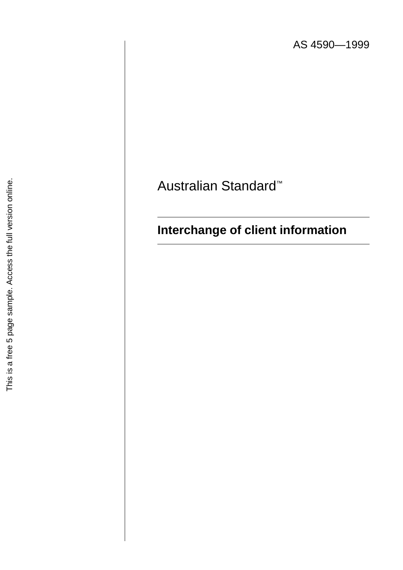AS 4590—1999

# Australian Standard ™

# **Interchange of client information**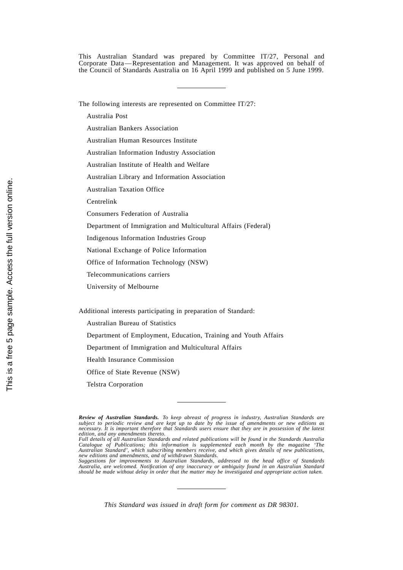This Australian Standard was prepared by Committee IT/27, Personal and Corporate Data—Representation and Management. It was approved on behalf of the Council of Standards Australia on 16 April 1999 and published on 5 June 1999.

The following interests are represented on Committee IT/27:

- Australia Post
- Australian Bankers Association
- Australian Human Resources Institute
- Australian Information Industry Association
- Australian Institute of Health and Welfare
- Australian Library and Information Association
- Australian Taxation Office
- Centrelink
- Consumers Federation of Australia
- Department of Immigration and Multicultural Affairs (Federal)
- Indigenous Information Industries Group
- National Exchange of Police Information
- Office of Information Technology (NSW)
- Telecommunications carriers
- University of Melbourne

Additional interests participating in preparation of Standard:

- Australian Bureau of Statistics
- Department of Employment, Education, Training and Youth Affairs
- Department of Immigration and Multicultural Affairs
- Health Insurance Commission
- Office of State Revenue (NSW)
- Telstra Corporation

*Review of Australian Standards. To keep abreast of progress in industry, Australian Standards are subject to periodic review and are kept up to date by the issue of amendments or new editions as necessary. It is important therefore that Standards users ensure that they are in possession of the latest edition, and any amendments thereto. Full details of all Australian Standards and related publications will be found in the Standards Australia*

*Catalogue of Publications; this information is supplemented each month by the magazine 'The Australian Standard', which subscribing members receive, and which gives details of new publications, new editions and amendments, and of withdrawn Standards.*

Suggestions for improvements to Australian Standards, addressed to the head office of Standards<br>Australia, are welcomed. Notification of any inaccuracy or ambiguity found in an Australian Standard<br>should be made without de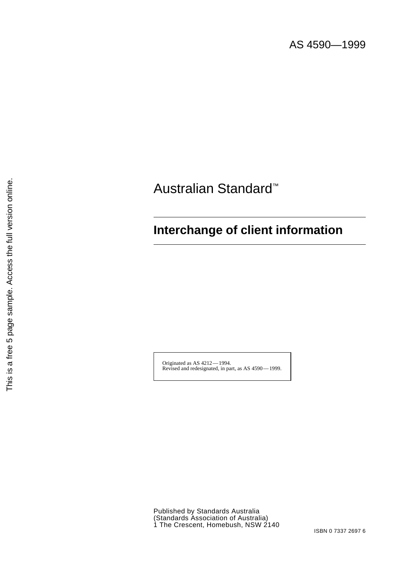AS 4590—1999

# Australian Standard™

## **Interchange of client information**

Originated as AS 4212 — 1994. Revised and redesignated, in part, as AS 4590 — 1999.

This is a free 5 page sample. Access the full version online. This is a free 5 page sample. Access the full version online.

> Published by Standards Australia (Standards Association of Australia) 1 The Crescent, Homebush, NSW 2140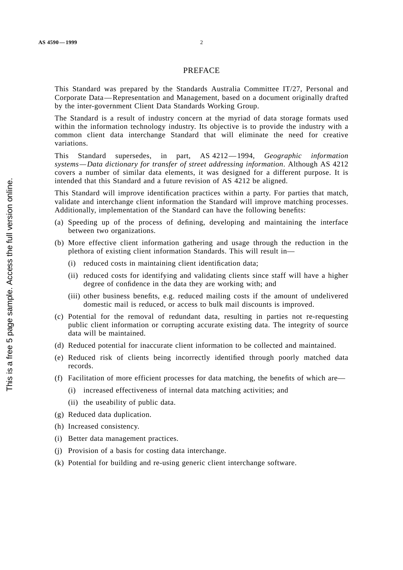#### PREFACE

This Standard was prepared by the Standards Australia Committee IT/27, Personal and Corporate Data—Representation and Management, based on a document originally drafted by the inter-government Client Data Standards Working Group.

The Standard is a result of industry concern at the myriad of data storage formats used within the information technology industry. Its objective is to provide the industry with a common client data interchange Standard that will eliminate the need for creative variations.

This Standard supersedes, in part, AS 4212—1994, *Geographic information systems—Data dictionary for transfer of street addressing information*. Although AS 4212 covers a number of similar data elements, it was designed for a different purpose. It is intended that this Standard and a future revision of AS 4212 be aligned.

This Standard will improve identification practices within a party. For parties that match, validate and interchange client information the Standard will improve matching processes. Additionally, implementation of the Standard can have the following benefits:

- (a) Speeding up of the process of defining, developing and maintaining the interface between two organizations.
- (b) More effective client information gathering and usage through the reduction in the plethora of existing client information Standards. This will result in—
	- (i) reduced costs in maintaining client identification data;
	- (ii) reduced costs for identifying and validating clients since staff will have a higher degree of confidence in the data they are working with; and
	- (iii) other business benefits, e.g. reduced mailing costs if the amount of undelivered domestic mail is reduced, or access to bulk mail discounts is improved.
- (c) Potential for the removal of redundant data, resulting in parties not re-requesting public client information or corrupting accurate existing data. The integrity of source data will be maintained.
- (d) Reduced potential for inaccurate client information to be collected and maintained.
- (e) Reduced risk of clients being incorrectly identified through poorly matched data records.
- (f) Facilitation of more efficient processes for data matching, the benefits of which are—
	- (i) increased effectiveness of internal data matching activities; and
	- (ii) the useability of public data.
- (g) Reduced data duplication.
- (h) Increased consistency.
- (i) Better data management practices.
- (j) Provision of a basis for costing data interchange.
- (k) Potential for building and re-using generic client interchange software.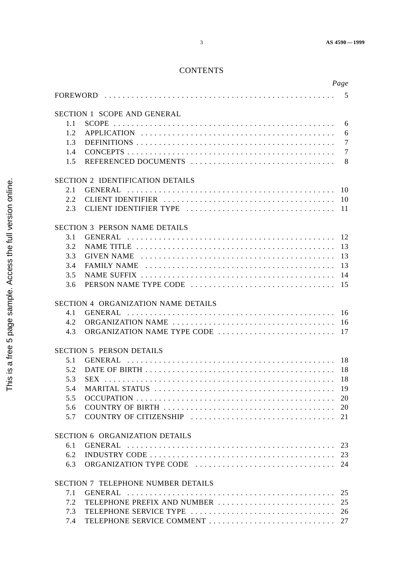## **CONTENTS**

|         |                                           | Page            |
|---------|-------------------------------------------|-----------------|
|         |                                           |                 |
|         | <b>SECTION 1 SCOPE AND GENERAL</b>        |                 |
| 1.1     |                                           |                 |
| 1.2     |                                           |                 |
| 1.3     |                                           |                 |
| 1.4     |                                           | $7\phantom{.0}$ |
| 1.5     |                                           |                 |
|         |                                           |                 |
|         | <b>SECTION 2 IDENTIFICATION DETAILS</b>   |                 |
| 2.1     |                                           |                 |
| 2.2     |                                           |                 |
| $2.3 -$ |                                           |                 |
|         | <b>SECTION 3 PERSON NAME DETAILS</b>      |                 |
| 3.1     |                                           |                 |
| 3.2     |                                           |                 |
| 3.3     |                                           |                 |
| 3.4     |                                           |                 |
| 3.5     |                                           |                 |
| 3.6     |                                           |                 |
|         |                                           |                 |
|         | SECTION 4 ORGANIZATION NAME DETAILS       |                 |
| 4.1     |                                           |                 |
| 4.2     |                                           |                 |
| 4.3     |                                           |                 |
|         | <b>SECTION 5 PERSON DETAILS</b>           |                 |
| 5.1     |                                           |                 |
| 5.2     |                                           |                 |
| 5.3     |                                           |                 |
| 5.4     |                                           |                 |
| 5.5     |                                           |                 |
| 5.6     |                                           |                 |
| 5.7     |                                           |                 |
|         |                                           |                 |
|         | <b>SECTION 6 ORGANIZATION DETAILS</b>     |                 |
| 6.1     |                                           |                 |
| 6.2     |                                           |                 |
| 6.3     |                                           |                 |
|         | <b>SECTION 7 TELEPHONE NUMBER DETAILS</b> |                 |
| 7.1     |                                           | 25              |
| 7.2     | TELEPHONE PREFIX AND NUMBER               | 25              |
| 7.3     |                                           |                 |
| 7.4     |                                           |                 |
|         |                                           |                 |